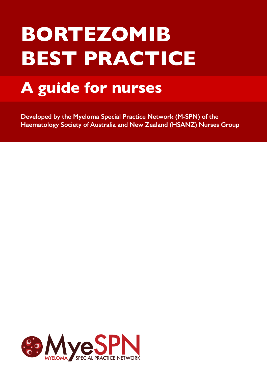# **BORTEZOMIB BEST PRACTICE**

# **A guide for nurses**

**Developed by the Myeloma Special Practice Network (M-SPN) of the Haematology Society of Australia and New Zealand (HSANZ) Nurses Group**

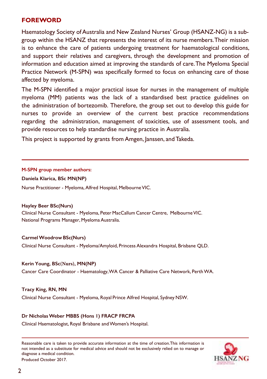#### **FOREWORD**

Haematology Society of Australia and New Zealand Nurses' Group (HSANZ-NG) is a subgroup within the HSANZ that represents the interest of its nurse members. Their mission is to enhance the care of patients undergoing treatment for haematological conditions, and support their relatives and caregivers, through the development and promotion of information and education aimed at improving the standards of care. The Myeloma Special Practice Network (M-SPN) was specifically formed to focus on enhancing care of those affected by myeloma.

The M-SPN identified a major practical issue for nurses in the management of multiple myeloma (MM) patients was the lack of a standardised best practice guidelines on the administration of bortezomib. Therefore, the group set out to develop this guide for nurses to provide an overview of the current best practice recommendations regarding the administration, management of toxicities, use of assessment tools, and provide resources to help standardise nursing practice in Australia.

This project is supported by grants from Amgen, Janssen, and Takeda.

#### **M-SPN group member authors:**

**Daniela Klarica, BSc MN(NP)**

Nurse Practitioner - Myeloma, Alfred Hospital, Melbourne VIC.

#### **Hayley Beer BSc(Nurs)**

Clinical Nurse Consultant - Myeloma, Peter MacCallum Cancer Centre, Melbourne VIC. National Programs Manager, Myeloma Australia.

#### **Carmel Woodrow BSc(Nurs)**

Clinical Nurse Consultant - Myeloma/Amyloid, Princess Alexandra Hospital, Brisbane QLD.

#### **Kerin Young, BSc(Nurs), MN(NP)**

Cancer Care Coordinator - Haematology, WA Cancer & Palliative Care Network, Perth WA.

#### **Tracy King, RN, MN**

Clinical Nurse Consultant - Myeloma, Royal Prince Alfred Hospital, Sydney NSW.

#### **Dr Nicholas Weber MBBS (Hons 1) FRACP FRCPA**

Clinical Haematologist, Royal Brisbane and Women's Hospital.

Reasonable care is taken to provide accurate information at the time of creation.This information is not intended as a substitute for medical advice and should not be exclusively relied on to manage or diagnose a medical condition. Produced October 2017.

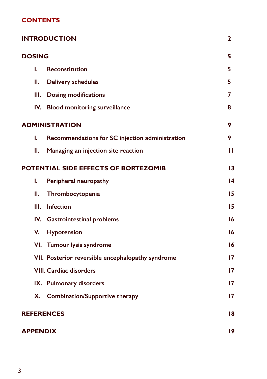## **CONTENTS**

|                 | <b>INTRODUCTION</b>                               | 2  |
|-----------------|---------------------------------------------------|----|
| <b>DOSING</b>   |                                                   | 5  |
| Ī.              | <b>Reconstitution</b>                             | 5  |
| Ш.              | <b>Delivery schedules</b>                         | 5  |
| III.            | <b>Dosing modifications</b>                       | 7  |
|                 | IV. Blood monitoring surveillance                 | 8  |
|                 | <b>ADMINISTRATION</b>                             | 9  |
| ı.              | Recommendations for SC injection administration   | 9  |
| Н.              | Managing an injection site reaction               | п  |
|                 | POTENTIAL SIDE EFFECTS OF BORTEZOMIB              | 13 |
| I.              | Peripheral neuropathy                             | 14 |
| Ш.              | Thrombocytopenia                                  | 15 |
| III.            | <b>Infection</b>                                  | 15 |
|                 | IV. Gastrointestinal problems                     | 16 |
| V.              | Hypotension                                       | 16 |
|                 | VI. Tumour lysis syndrome                         | 16 |
|                 | VII. Posterior reversible encephalopathy syndrome | 17 |
|                 | <b>VIII. Cardiac disorders</b>                    | 17 |
|                 | IX. Pulmonary disorders                           | 17 |
|                 | X. Combination/Supportive therapy                 | 17 |
|                 | <b>REFERENCES</b>                                 | 18 |
| <b>APPENDIX</b> |                                                   | 19 |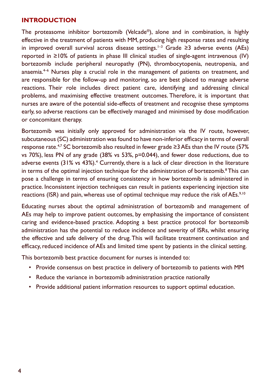#### **INTRODUCTION**

The proteasome inhibitor bortezomib (Velcade®), alone and in combination, is highly effective in the treatment of patients with MM, producing high response rates and resulting in improved overall survival across disease settings.1–3 Grade ≥3 adverse events (AEs) reported in ≥10% of patients in phase III clinical studies of single-agent intravenous (IV) bortezomib include peripheral neuropathy (PN), thrombocytopenia, neutropenia, and anaemia. $4-6$  Nurses play a crucial role in the management of patients on treatment, and are responsible for the follow-up and monitoring, so are best placed to manage adverse reactions. Their role includes direct patient care, identifying and addressing clinical problems, and maximising effective treatment outcomes. Therefore, it is important that nurses are aware of the potential side-effects of treatment and recognise these symptoms early, so adverse reactions can be effectively managed and minimised by dose modification or concomitant therapy.

Bortezomib was initially only approved for administration via the IV route, however, subcutaneous (SC) administration was found to have non-inferior efficacy in terms of overall response rate.4,7 SC bortezomib also resulted in fewer grade ≥3 AEs than the IV route (57% vs 70%), less PN of any grade  $(38\% \text{ vs } 53\%, p=0.044)$ , and fewer dose reductions, due to adverse events (31% vs 43%).<sup>4</sup> Currently, there is a lack of clear direction in the literature in terms of the optimal injection technique for the administration of bortezomib. ${}^{8}$ This can pose a challenge in terms of ensuring consistency in how bortezomib is administered in practice. Inconsistent injection techniques can result in patients experiencing injection site reactions (ISR) and pain, whereas use of optimal technique may reduce the risk of AEs.<sup>9,10</sup>

Educating nurses about the optimal administration of bortezomib and management of AEs may help to improve patient outcomes, by emphasising the importance of consistent caring and evidence-based practice. Adopting a best practice protocol for bortezomib administration has the potential to reduce incidence and severity of ISRs, whilst ensuring the effective and safe delivery of the drug. This will facilitate treatment continuation and efficacy, reduced incidence of AEs and limited time spent by patients in the clinical setting.

This bortezomib best practice document for nurses is intended to:

- Provide consensus on best practice in delivery of bortezomib to patients with MM
- Reduce the variance in bortezomib administration practice nationally
- Provide additional patient information resources to support optimal education.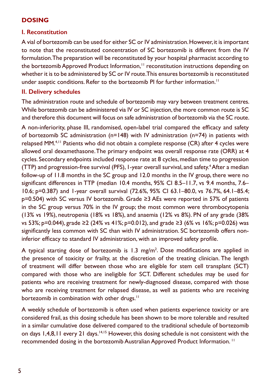#### **DOSING**

#### **I. Reconstitution**

A vial of bortezomib can be used for either SC or IV administration. However, it is important to note that the reconstituted concentration of SC bortezomib is different from the IV formulation. The preparation will be reconstituted by your hospital pharmacist according to the bortezomib Approved Product Information,<sup>11</sup> reconstitution instructions depending on whether it is to be administered by SC or IV route. This ensures bortezomib is reconstituted under aseptic conditions. Refer to the bortezomib PI for further information.<sup>11</sup>

#### **II. Delivery schedules**

The administration route and schedule of bortezomib may vary between treatment centres. While bortezomib can be administered via IV or SC injection, the more common route is SC and therefore this document will focus on safe administration of bortezomib via the SC route. A non-inferiority, phase III, randomised, open-label trial compared the efficacy and safety of bortezomib SC administration (n=148) with IV administration (n=74) in patients with relapsed MM.4,11 Patients who did not obtain a complete response (CR) after 4 cycles were allowed oral dexamethasone. The primary endpoint was overall response rate (ORR) at 4 cycles. Secondary endpoints included response rate at 8 cycles, median time to progression (TTP) and progression-free survival (PFS), I-year overall survival, and safety.<sup>4</sup> After a median follow-up of 11.8 months in the SC group and 12.0 months in the IV group, there were no significant differences in TTP (median 10.4 months, 95% CI 8.5–11.7, vs 9.4 months, 7.6– 10.6; p=0.387) and 1-year overall survival (72.6%, 95% CI 63.1–80.0, vs 76.7%, 64.1–85.4; p=0.504) with SC versus IV bortezomib. Grade ≥3 AEs were reported in 57% of patients in the SC group versus 70% in the IV group; the most common were thrombocytopenia (13% vs 19%), neutropenia (18% vs 18%), and anaemia (12% vs 8%). PN of any grade (38% vs 53%; p=0.044), grade ≥2 (24% vs 41%; p=0.012), and grade ≥3 (6% vs 16%; p=0.026) was significantly less common with SC than with IV administration. SC bortezomib offers noninferior efficacy to standard IV administration, with an improved safety profile.

A typical starting dose of bortezomib is  $1.3 \text{ mg/m}^2$ . Dose modifications are applied in the presence of toxicity or frailty, at the discretion of the treating clinician. The length of treatment will differ between those who are eligible for stem cell transplant (SCT) compared with those who are ineligible for SCT. Different schedules may be used for patients who are receiving treatment for newly-diagnosed disease, compared with those who are receiving treatment for relapsed disease, as well as patients who are receiving bortezomib in combination with other drugs.<sup>11</sup>

A weekly schedule of bortezomib is often used when patients experience toxicity or are considered frail, as this dosing schedule has been shown to be more tolerable and resulted in a similar cumulative dose delivered compared to the traditional schedule of bortezomib on days 1,4,8,11 every 21 days.<sup>14,15</sup> However, this dosing schedule is not consistent with the recommended dosing in the bortezomib Australian Approved Product Information. 11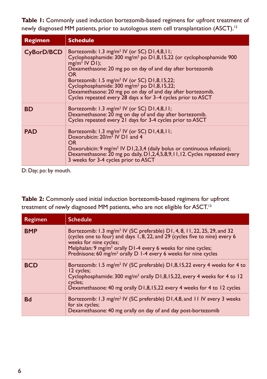**Table 1:** Commonly used induction bortezomib-based regimens for upfront treatment of newly diagnosed MM patients, prior to autologous stem cell transplantation (ASCT).<sup>12</sup>

| <b>Regimen</b> | <b>Schedule</b>                                                                                                                                                                                                                                                                                                                                                                                                                                                                              |
|----------------|----------------------------------------------------------------------------------------------------------------------------------------------------------------------------------------------------------------------------------------------------------------------------------------------------------------------------------------------------------------------------------------------------------------------------------------------------------------------------------------------|
| CyBorD/BCD     | Bortezomib: 1.3 mg/m <sup>2</sup> IV (or SC) $DI$ , 4,8, 11;<br>Cyclophosphamide: 300 mg/m <sup>2</sup> po D1,8,15,22 (or cyclophosphamide 900<br>$mg/m^2$ IV DI);<br>Dexamethasone: 20 mg po on day of and day after bortezomib<br>OR.<br>Bortezomib: 1.5 mg/m <sup>2</sup> IV (or SC) D1,8,15,22;<br>Cyclophosphamide: 300 mg/m <sup>2</sup> po D1,8,15,22;<br>Dexamethasone: 20 mg po on day of and day after bortezomib.<br>Cycles repeated every 28 days x for 3-4 cycles prior to ASCT |
| <b>BD</b>      | Bortezomib: 1.3 mg/m <sup>2</sup> IV (or SC) $DI$ , 4,8, 11;<br>Dexamethasone: 20 mg on day of and day after bortezomib.<br>Cycles repeated every 21 days for 3-4 cycles prior to ASCT                                                                                                                                                                                                                                                                                                       |
| <b>PAD</b>     | Bortezomib: 1.3 mg/m <sup>2</sup> IV (or SC) D1,4,8,11;<br>Doxorubicin: 20/m <sup>2</sup> IV D1 and 4<br>OR.<br>Doxorubicin: 9 mg/m <sup>2</sup> IV D1,2,3,4 (daily bolus or continuous infusion);<br>Dexamethasone: 20 mg po daily, D1,2,4,5,8,9,11,12. Cycles repeated every<br>3 weeks for 3-4 cycles prior to ASCT                                                                                                                                                                       |

D: Day; po: by mouth.

**Table 2:** Commonly used initial induction bortezomib-based regimens for upfront treatment of newly diagnosed MM patients, who are not eligible for ASCT.<sup>13</sup>

| <b>Regimen</b> | <b>Schedule</b>                                                                                                                                                                                                                                                                                                                                                |
|----------------|----------------------------------------------------------------------------------------------------------------------------------------------------------------------------------------------------------------------------------------------------------------------------------------------------------------------------------------------------------------|
| <b>BMP</b>     | Bortezomib: 1.3 mg/m <sup>2</sup> IV (SC preferable) $DI$ , 4, 8, 11, 22, 25, 29, and 32<br>(cycles one to four) and days 1, 8, 22, and 29 (cycles five to nine) every 6<br>weeks for nine cycles;<br>Melphalan: 9 mg/m <sup>2</sup> orally D1-4 every 6 weeks for nine cycles;<br>Prednisone: 60 mg/m <sup>2</sup> orally D 1-4 every 6 weeks for nine cycles |
| <b>BCD</b>     | Bortezomib: 1.5 mg/m <sup>2</sup> IV (SC preferable) D1,8,15,22 every 4 weeks for 4 to<br>12 cycles;<br>Cyclophosphamide: 300 mg/m <sup>2</sup> orally D1,8,15,22, every 4 weeks for 4 to 12<br>cycles:<br>Dexamethasone: 40 mg orally D1,8,15,22 every 4 weeks for 4 to 12 cycles                                                                             |
| <b>Bd</b>      | Bortezomib: 1.3 mg/m <sup>2</sup> IV (SC preferable) D1,4,8, and 11 IV every 3 weeks<br>for six cycles;<br>Dexamethasone: 40 mg orally on day of and day post-bortezomib                                                                                                                                                                                       |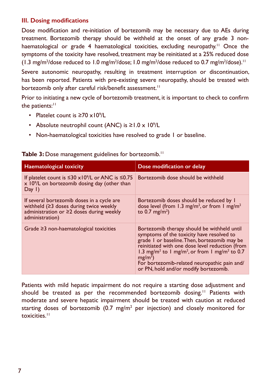#### **III. Dosing modifications**

Dose modification and re-initiation of bortezomib may be necessary due to AEs during treatment. Bortezomib therapy should be withheld at the onset of any grade 3 nonhaematological or grade 4 haematological toxicities, excluding neuropathy.<sup>11</sup> Once the symptoms of the toxicity have resolved, treatment may be reinitiated at a 25% reduced dose (1.3 mg/m<sup>2</sup>/dose reduced to 1.0 mg/m<sup>2</sup>/dose; 1.0 mg/m<sup>2</sup>/dose reduced to 0.7 mg/m<sup>2</sup>/dose).<sup>11</sup>

Severe autonomic neuropathy, resulting in treatment interruption or discontinuation, has been reported. Patients with pre-existing severe neuropathy, should be treated with bortezomib only after careful risk/benefit assessment.<sup>11</sup>

Prior to initiating a new cycle of bortezomib treatment, it is important to check to confirm the patients:<sup>11</sup>

- Platelet count is  $\geq 70 \times 10^9$ /L
- Absolute neutrophil count (ANC) is  $\geq$  1.0 x 10<sup>9</sup>/L
- Non-haematological toxicities have resolved to grade 1 or baseline.

| <b>Haematological toxicity</b>                                                                                                                        | Dose modification or delay                                                                                                                                                                                                                                                                                                                                                                     |
|-------------------------------------------------------------------------------------------------------------------------------------------------------|------------------------------------------------------------------------------------------------------------------------------------------------------------------------------------------------------------------------------------------------------------------------------------------------------------------------------------------------------------------------------------------------|
| If platelet count is $\leq 30 \times 10^9$ /L or ANC is $\leq 0.75$<br>$\times$ 10 <sup>9</sup> /L on bortezomib dosing day (other than<br>$Day$ $I)$ | Bortezomib dose should be withheld                                                                                                                                                                                                                                                                                                                                                             |
| If several bortezomib doses in a cycle are<br>withheld $(≥3$ doses during twice weekly<br>administration or ≥2 doses during weekly<br>administration) | Bortezomib doses should be reduced by I<br>dose level (from 1.3 mg/m <sup>2</sup> , or from 1 mg/m <sup>2</sup><br>to $0.7 \text{ mg/m}^2$ )                                                                                                                                                                                                                                                   |
| Grade $\geq$ 3 non-haematological toxicities                                                                                                          | Bortezomib therapy should be withheld until<br>symptoms of the toxicity have resolved to<br>grade I or baseline. Then, bortezomib may be<br>reinitiated with one dose level reduction (from<br>1.3 mg/m <sup>2</sup> to 1 mg/m <sup>2</sup> , or from 1 mg/m <sup>2</sup> to 0.7<br>mg/m <sup>2</sup><br>For bortezomib-related neuropathic pain and/<br>or PN, hold and/or modify bortezomib. |

#### **Table 3:** Dose management guidelines for bortezomib.<sup>11</sup>

Patients with mild hepatic impairment do not require a starting dose adjustment and should be treated as per the recommended bortezomib dosing.<sup>11</sup> Patients with moderate and severe hepatic impairment should be treated with caution at reduced starting doses of bortezomib (0.7 mg/m<sup>2</sup> per injection) and closely monitored for toxicities.11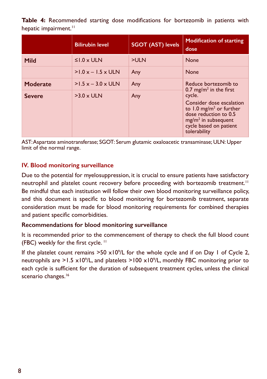**Table 4:** Recommended starting dose modifications for bortezomib in patients with hepatic impairment.<sup>11</sup>

|               | <b>Bilirubin level</b> | <b>SGOT (AST) levels</b> | <b>Modification of starting</b><br>dose                                                                                                                              |  |
|---------------|------------------------|--------------------------|----------------------------------------------------------------------------------------------------------------------------------------------------------------------|--|
| Mild          | $\leq$ 1.0 x ULN       | >ULN                     | None                                                                                                                                                                 |  |
|               | $>1.0 x - 1.5 x$ ULN   | Any                      | None                                                                                                                                                                 |  |
| Moderate      | $>1.5 x - 3.0 x$ ULN   | Any                      | Reduce bortezomib to<br>0.7 mg/m <sup>2</sup> in the first                                                                                                           |  |
| <b>Severe</b> | $>3.0 \times$ ULN      | Any                      | cycle.<br>Consider dose escalation<br>to $1.0 \text{ mg/m}^2$ or further<br>dose reduction to 0.5<br>$mg/m2$ in subsequent<br>cycle based on patient<br>tolerability |  |

AST: Aspartate aminotransferase; SGOT: Serum glutamic oxaloacetic transaminase; ULN: Upper limit of the normal range.

#### **IV. Blood monitoring surveillance**

Due to the potential for myelosuppression, it is crucial to ensure patients have satisfactory neutrophil and platelet count recovery before proceeding with bortezomib treatment.<sup>11</sup> Be mindful that each institution will follow their own blood monitoring surveillance policy, and this document is specific to blood monitoring for bortezomib treatment, separate consideration must be made for blood monitoring requirements for combined therapies and patient specific comorbidities.

#### **Recommendations for blood monitoring surveillance**

It is recommended prior to the commencement of therapy to check the full blood count (FBC) weekly for the first cycle.<sup>11</sup>

If the platelet count remains  $>50 \times 10^9$ /L for the whole cycle and if on Day 1 of Cycle 2, neutrophils are  $>1.5 \times 10^{9}$ /L, and platelets  $>100 \times 10^{9}$ /L, monthly FBC monitoring prior to each cycle is sufficient for the duration of subsequent treatment cycles, unless the clinical scenario changes.<sup>16</sup>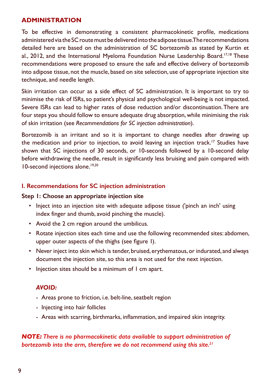#### **ADMINISTRATION**

To be effective in demonstrating a consistent pharmacokinetic profile, medications administered via the SC route must be delivered into the adipose tissue. The recommendations detailed here are based on the administration of SC bortezomib as stated by Kurtin et al., 2012, and the International Myeloma Foundation Nurse Leadership Board.<sup>17,18</sup> These recommendations were proposed to ensure the safe and effective delivery of bortezomib into adipose tissue, not the muscle, based on site selection, use of appropriate injection site technique, and needle length.

Skin irritation can occur as a side effect of SC administration. It is important to try to minimise the risk of ISRs, so patient's physical and psychological well-being is not impacted. Severe ISRs can lead to higher rates of dose reduction and/or discontinuation. There are four steps you should follow to ensure adequate drug absorption, while minimising the risk of skin irritation (see *Recommendations for SC injection administration*).

Bortezomib is an irritant and so it is important to change needles after drawing up the medication and prior to injection, to avoid leaving an injection track.<sup>17</sup> Studies have shown that SC injections of 30 seconds, or 10-seconds followed by a 10-second delay before withdrawing the needle, result in significantly less bruising and pain compared with 10-second injections alone.19,20

#### **I. Recommendations for SC injection administration**

#### **Step 1: Choose an appropriate injection site**

- Inject into an injection site with adequate adipose tissue ('pinch an inch' using index finger and thumb, avoid pinching the muscle).
- Avoid the 2 cm region around the umbilicus.
- Rotate injection sites each time and use the following recommended sites: abdomen, upper outer aspects of the thighs (see figure 1).
- Never inject into skin which is tender, bruised, erythematous, or indurated, and always document the injection site, so this area is not used for the next injection.
- Injection sites should be a minimum of 1 cm apart.

#### *AVOID:*

- Areas prone to friction, i.e. belt-line, seatbelt region
- Injecting into hair follicles
- Areas with scarring, birthmarks, inflammation, and impaired skin integrity.

#### *NOTE: There is no pharmacokinetic data available to support administration of bortezomib into the arm, therefore we do not recommend using this site.21*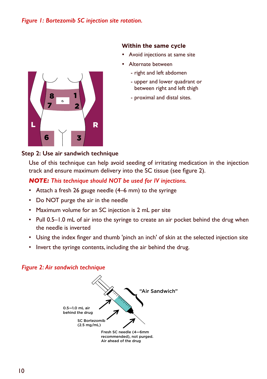#### *Figure 1: Bortezomib SC injection site rotation.*



#### **Within the same cycle**

- Avoid injections at same site
- Alternate between
	- right and left abdomen
	- upper and lower quadrant or between right and left thigh
	- proximal and distal sites.

### Step 2: Use air sandwich technique

Use of this technique can help avoid seeding of irritating medication in the injection track and ensure maximum delivery into the SC tissue (see figure 2).

#### *NOTE: This technique should NOT be used for IV injections.*

- Attach a fresh 26 gauge needle (4–6 mm) to the syringe
- Do NOT purge the air in the needle
- Maximum volume for an SC injection is 2 mL per site
- Pull 0.5–1.0 mL of air into the syringe to create an air pocket behind the drug when the needle is inverted
- Using the index finger and thumb 'pinch an inch' of skin at the selected injection site
- Invert the syringe contents, including the air behind the drug.

#### *Figure 2: Air sandwich technique*

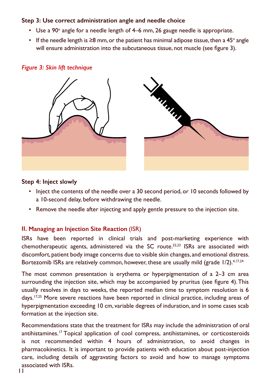#### **Step 3: Use correct administration angle and needle choice**

- $\bullet$  Use a 90° angle for a needle length of 4–6 mm, 26 gauge needle is appropriate.
- If the needle length is ≥8 mm, or the patient has minimal adipose tissue, then a 45° angle will ensure administration into the subcutaneous tissue, not muscle (see figure 3).

#### *Figure 3: Skin lift technique*



#### **Step 4: Inject slowly**

- Inject the contents of the needle over a 30 second period, or 10 seconds followed by a 10-second delay, before withdrawing the needle.
- Remove the needle after injecting and apply gentle pressure to the injection site.

#### **II. Managing an Injection Site Reaction** (ISR)

ISRs have been reported in clinical trials and post-marketing experience with chemotherapeutic agents, administered via the SC route.<sup>22,23</sup> ISRs are associated with discomfort, patient body image concerns due to visible skin changes, and emotional distress. Bortezomib ISRs are relatively common, however, these are usually mild (grade  $1/2$ ).<sup>4,17,24</sup>

The most common presentation is erythema or hyperpigmentation of a 2–3 cm area surrounding the injection site, which may be accompanied by pruritus (see figure 4). This usually resolves in days to weeks, the reported median time to symptom resolution is 6 days.<sup>17,25</sup> More severe reactions have been reported in clinical practice, including areas of hyperpigmentation exceeding 10 cm, variable degrees of induration, and in some cases scab formation at the injection site.

Recommendations state that the treatment for ISRs may include the administration of oral antihistamines.<sup>17</sup> Topical application of cool compress, antihistamines, or corticosteroids is not recommended within 4 hours of administration, to avoid changes in pharmacokinetics. It is important to provide patients with education about post-injection care, including details of aggravating factors to avoid and how to manage symptoms associated with ISRs.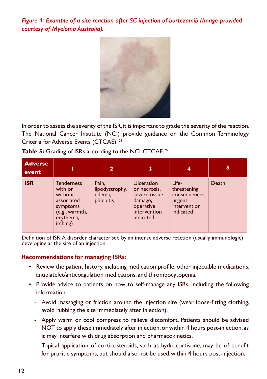*Figure 4: Example of a site reaction after SC injection of bortezomib (Image provided courtesy of Myeloma Australia).*



In order to assess the severity of the ISR, it is important to grade the severity of the reaction. The National Cancer Institute (NCI) provide guidance on the Common Terminology Criteria for Adverse Events (CTCAE). <sup>26</sup>

|  |  |  |  |  | Table 5: Grading of ISRs according to the NCI-CTCAE. <sup>26</sup> |
|--|--|--|--|--|--------------------------------------------------------------------|
|--|--|--|--|--|--------------------------------------------------------------------|

| <b>Adverse</b><br>event |                                                                                                              | $\mathbf{2}$                                   | 3                                                                                                       | 4                                                                            | 5     |
|-------------------------|--------------------------------------------------------------------------------------------------------------|------------------------------------------------|---------------------------------------------------------------------------------------------------------|------------------------------------------------------------------------------|-------|
| <b>ISR</b>              | <b>Tenderness</b><br>with or<br>without<br>associated<br>symptoms<br>(e.g., warmth,<br>erythema,<br>itching) | Pain,<br>lipodystrophy,<br>edema,<br>phlebitis | <b>Ulceration</b><br>or necrosis,<br>severe tissue<br>damage,<br>operative<br>intervention<br>indicated | Life-<br>threatening<br>consequences,<br>urgent<br>intervention<br>indicated | Death |

Definition of ISR: A disorder characterised by an intense adverse reaction (usually immunologic) developing at the site of an injection.

#### **Recommendations for managing ISRs:**

- Review the patient history, including medication profile, other injectable medications, antiplatelet/anticoagulation medications, and thrombocytopenia.
- Provide advice to patients on how to self-manage any ISRs, including the following information:
	- Avoid massaging or friction around the injection site (wear loose-fitting clothing, avoid rubbing the site immediately after injection).
	- Apply warm or cool compress to relieve discomfort. Patients should be advised NOT to apply these immediately after injection, or within 4 hours post-injection, as it may interfere with drug absorption and pharmacokinetics.
	- Topical application of corticosteroids, such as hydrocortisone, may be of benefit for pruritic symptoms, but should also not be used within 4 hours post-injection.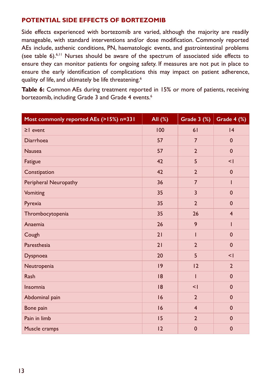#### **POTENTIAL SIDE EFFECTS OF BORTEZOMIB**

Side effects experienced with bortezomib are varied, although the majority are readily manageable, with standard interventions and/or dose modification. Commonly reported AEs include, asthenic conditions, PN, haematologic events, and gastrointestinal problems (see table  $6$ ).<sup>6,11</sup> Nurses should be aware of the spectrum of associated side effects to ensure they can monitor patients for ongoing safety. If measures are not put in place to ensure the early identification of complications this may impact on patient adherence, quality of life, and ultimately be life threatening.<sup>6</sup>

**Table 6:** Common AEs during treatment reported in 15% or more of patients, receiving bortezomib, including Grade 3 and Grade 4 events.<sup>6</sup>

| Most commonly reported AEs (>15%) n=331 | All (%) | Grade $3$ $%$           | <b>Grade 4 (%)</b> |
|-----------------------------------------|---------|-------------------------|--------------------|
| $\geq$   event                          | 100     | 61                      | 4                  |
| <b>Diarrhoea</b>                        | 57      | $\overline{7}$          | $\mathbf{0}$       |
| <b>Nausea</b>                           | 57      | $\overline{2}$          | $\mathbf{0}$       |
| Fatigue                                 | 42      | 5                       | $\leq$             |
| Constipation                            | 42      | $\overline{2}$          | $\mathbf{0}$       |
| Peripheral Neuropathy                   | 36      | $\overline{7}$          | ı                  |
| Vomiting                                | 35      | 3                       | $\mathbf{0}$       |
| Pyrexia                                 | 35      | $\overline{2}$          | $\mathbf{0}$       |
| Thrombocytopenia                        | 35      | 26                      | $\overline{4}$     |
| Anaemia                                 | 26      | 9                       | L                  |
| Cough                                   | 21      | ı                       | $\mathbf{0}$       |
| Paresthesia                             | 21      | $\overline{2}$          | $\mathbf{0}$       |
| <b>Dyspnoea</b>                         | 20      | 5                       | $\leq$             |
| Neutropenia                             | 9       | 12                      | $\overline{2}$     |
| Rash                                    | 18      | ı                       | $\mathbf{0}$       |
| Insomnia                                | 8       | $\leq$                  | $\mathbf{0}$       |
| Abdominal pain                          | 16      | $\overline{2}$          | $\mathbf{0}$       |
| Bone pain                               | 16      | $\overline{\mathbf{4}}$ | $\mathbf{0}$       |
| Pain in limb                            | 15      | $\overline{2}$          | $\mathbf{0}$       |
| Muscle cramps                           | 12      | $\mathbf 0$             | $\mathbf 0$        |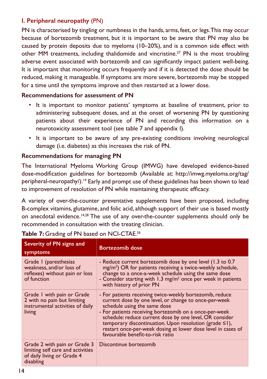#### **I. Peripheral neuropathy** (PN)

PN is characterised by tingling or numbness in the hands, arms, feet, or legs. This may occur because of bortezomib treatment, but it is important to be aware that PN may also be caused by protein deposits due to myeloma (10–20%), and is a common side effect with other MM treatments, including thalidomide and vincristine.<sup>27</sup> PN is the most troubling adverse event associated with bortezomib and can significantly impact patient well-being. It is important that monitoring occurs frequently and if it is detected the dose should be reduced, making it manageable. If symptoms are more severe, bortezomib may be stopped for a time until the symptoms improve and then restarted at a lower dose.

#### **Recommendations for assessment of PN**

- It is important to monitor patients' symptoms at baseline of treatment, prior to administering subsequent doses, and at the onset of worsening PN by questioning patients about their experience of PN and recording this information on a neurotoxicity assessment tool (see table 7 and appendix I).
- It is important to be aware of any pre-existing conditions involving neurological damage (i.e. diabetes) as this increases the risk of PN.

#### **Recommendations for managing PN**

The International Myeloma Working Group (IMWG) have developed evidence-based dose-modification guidelines for bortezomib (Available at: http://imwg.myeloma.org/tag/ peripheral-neuropathy/).<sup>14</sup> Early and prompt use of these guidelines has been shown to lead to improvement of resolution of PN while maintaining therapeutic efficacy.

A variety of over-the-counter preventative supplements have been proposed, including B-complex vitamins, glutamine, and folic acid, although support of their use is based mostly on anecdotal evidence.14,28 The use of any over-the-counter supplements should only be recommended in consultation with the treating clinician.

| Severity of PN signs and<br>symptoms                                                                         | <b>Bortezomib dose</b>                                                                                                                                                                                                                                                                                                                                                                                                               |
|--------------------------------------------------------------------------------------------------------------|--------------------------------------------------------------------------------------------------------------------------------------------------------------------------------------------------------------------------------------------------------------------------------------------------------------------------------------------------------------------------------------------------------------------------------------|
| Grade I (paresthesias<br>weakness, and/or loss of<br>reflexes) without pain or loss<br>of function           | - Reduce current bortezomib dose by one level (1.3 to 0.7)<br>mg/m <sup>2</sup> ) OR for patients receiving a twice-weekly schedule,<br>change to a once-a-week schedule using the same dose<br>- Consider starting with 1.3 mg/m <sup>2</sup> once per week in patients<br>with history of prior PN                                                                                                                                 |
| Grade I with pain or Grade<br>2 with no pain but limiting<br>instrumental activities of daily<br>living      | - For patients receiving twice-weekly bortezomib, reduce<br>current dose by one level, or change to once-per-week<br>schedule using the same dose<br>- For patients receiving bortezomib on a once-per-week<br>schedule: reduce current dose by one level, OR consider<br>temporary discontinuation. Upon resolution (grade ≤1),<br>restart once-per-week dosing at lower dose level in cases of<br>favourable benefit-to-risk ratio |
| Grade 2 with pain or Grade 3<br>limiting self care and activities<br>of daily living or Grade 4<br>disabling | Discontinue bortezomib                                                                                                                                                                                                                                                                                                                                                                                                               |

#### Table 7: Grading of PN based on NCI-CTAE.<sup>26</sup>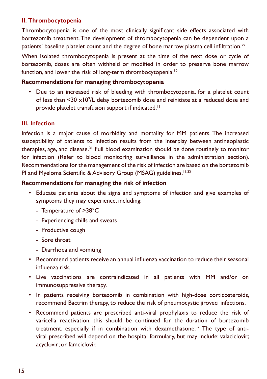#### **II. Thrombocytopenia**

Thrombocytopenia is one of the most clinically significant side effects associated with bortezomib treatment. The development of thrombocytopenia can be dependent upon a patients' baseline platelet count and the degree of bone marrow plasma cell infiltration.<sup>29</sup>

When isolated thrombocytopenia is present at the time of the next dose or cycle of bortezomib, doses are often withheld or modified in order to preserve bone marrow function, and lower the risk of long-term thrombocytopenia.<sup>30</sup>

#### **Recommendations for managing thrombocytopenia**

• Due to an increased risk of bleeding with thrombocytopenia, for a platelet count of less than <30 x109 /L delay bortezomib dose and reinitiate at a reduced dose and provide platelet transfusion support if indicated.<sup>11</sup>

#### **III. Infection**

Infection is a major cause of morbidity and mortality for MM patients. The increased susceptibility of patients to infection results from the interplay between antineoplastic therapies, age, and disease.31 Full blood examination should be done routinely to monitor for infection (Refer to blood monitoring surveillance in the administration section). Recommendations for the management of the risk of infection are based on the bortezomib PI and Myeloma Scientific & Advisory Group (MSAG) guidelines.<sup>11,32</sup>

#### **Recommendations for managing the risk of infection**

- Educate patients about the signs and symptoms of infection and give examples of symptoms they may experience, including:
	- Temperature of >38°C
	- Experiencing chills and sweats
	- Productive cough
	- Sore throat
	- Diarrhoea and vomiting
- Recommend patients receive an annual influenza vaccination to reduce their seasonal influenza risk.
- Live vaccinations are contraindicated in all patients with MM and/or on immunosuppressive therapy.
- In patients receiving bortezomib in combination with high-dose corticosteroids, recommend Bactrim therapy, to reduce the risk of pneumocystic jiroveci infections.
- Recommend patients are prescribed anti-viral prophylaxis to reduce the risk of varicella reactivation, this should be continued for the duration of bortezomib treatment, especially if in combination with dexamethasone.32 The type of antiviral prescribed will depend on the hospital formulary, but may include: valaciclovir; acyclovir; or famciclovir.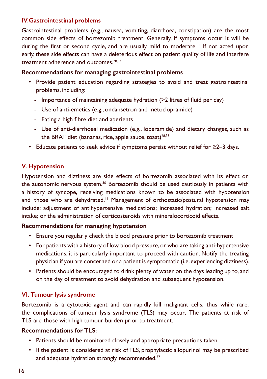#### **IV.Gastrointestinal problems**

Gastrointestinal problems (e.g., nausea, vomiting, diarrhoea, constipation) are the most common side effects of bortezomib treatment. Generally, if symptoms occur it will be during the first or second cycle, and are usually mild to moderate.<sup>33</sup> If not acted upon early, these side effects can have a deleterious effect on patient quality of life and interfere treatment adherence and outcomes.<sup>28,34</sup>

#### **Recommendations for managing gastrointestinal problems**

- Provide patient education regarding strategies to avoid and treat gastrointestinal problems, including:
	- Importance of maintaining adequate hydration (>2 litres of fluid per day)
	- Use of anti-emetics (e.g., ondansetron and metoclopramide)
	- Eating a high fibre diet and aperients
	- Use of anti-diarrhoeal medication (e.g., loperamide) and dietary changes, such as the BRAT diet (bananas, rice, apple sauce, toast) $28,35$
- Educate patients to seek advice if symptoms persist without relief for ≥2–3 days.

#### **V. Hypotension**

Hypotension and dizziness are side effects of bortezomib associated with its effect on the autonomic nervous system.<sup>36</sup> Bortezomib should be used cautiously in patients with a history of syncope, receiving medications known to be associated with hypotension and those who are dehydrated.<sup>11</sup> Management of orthostatic/postural hypotension may include: adjustment of antihypertensive medications; increased hydration; increased salt intake; or the administration of corticosteroids with mineralocorticoid effects.

#### **Recommendations for managing hypotension**

- Ensure you regularly check the blood pressure prior to bortezomib treatment
- For patients with a history of low blood pressure, or who are taking anti-hypertensive medications, it is particularly important to proceed with caution. Notify the treating physician if you are concerned or a patient is symptomatic (i.e. experiencing dizziness).
- Patients should be encouraged to drink plenty of water on the days leading up to, and on the day of treatment to avoid dehydration and subsequent hypotension.

#### **VI. Tumour lysis syndrome**

Bortezomib is a cytotoxic agent and can rapidly kill malignant cells, thus while rare, the complications of tumour lysis syndrome (TLS) may occur. The patients at risk of TLS are those with high tumour burden prior to treatment.<sup>11</sup>

#### **Recommendations for TLS:**

- Patients should be monitored closely and appropriate precautions taken.
- If the patient is considered at risk of TLS, prophylactic allopurinol may be prescribed and adequate hydration strongly recommended.<sup>37</sup>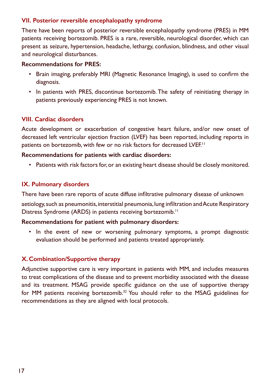#### **VII. Posterior reversible encephalopathy syndrome**

There have been reports of posterior reversible encephalopathy syndrome (PRES) in MM patients receiving bortezomib. PRES is a rare, reversible, neurological disorder, which can present as seizure, hypertension, headache, lethargy, confusion, blindness, and other visual and neurological disturbances.

#### **Recommendations for PRES:**

- Brain imaging, preferably MRI (Magnetic Resonance Imaging), is used to confirm the diagnosis.
- In patients with PRES, discontinue bortezomib. The safety of reinitiating therapy in patients previously experiencing PRES is not known.

#### **VIII. Cardiac disorders**

Acute development or exacerbation of congestive heart failure, and/or new onset of decreased left ventricular ejection fraction (LVEF) has been reported, including reports in patients on bortezomib, with few or no risk factors for decreased LVEF.<sup>11</sup>

#### **Recommendations for patients with cardiac disorders:**

• Patients with risk factors for, or an existing heart disease should be closely monitored.

#### **IX. Pulmonary disorders**

There have been rare reports of acute diffuse infiltrative pulmonary disease of unknown aetiology, such as pneumonitis, interstitial pneumonia, lung infiltration and Acute Respiratory Distress Syndrome (ARDS) in patients receiving bortezomib.<sup>11</sup>

#### **Recommendations for patient with pulmonary disorders:**

• In the event of new or worsening pulmonary symptoms, a prompt diagnostic evaluation should be performed and patients treated appropriately.

#### **X.Combination/Supportive therapy**

Adjunctive supportive care is very important in patients with MM, and includes measures to treat complications of the disease and to prevent morbidity associated with the disease and its treatment. MSAG provide specific guidance on the use of supportive therapy for MM patients receiving bortezomib.<sup>32</sup> You should refer to the MSAG guidelines for recommendations as they are aligned with local protocols.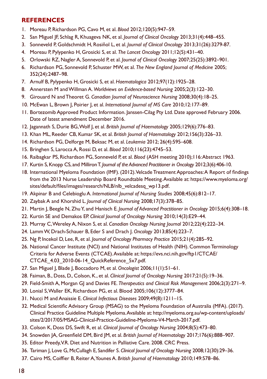#### **REFERENCES**

- 1. Moreau P, Richardson PG, Cavo M, et al. *Blood* 2012;120(5):947–59.
- 2. San Miguel JF, Schlag R, Khuageva NK, et al. *Journal of Clinical Oncology* 2013;31(4):448–455.
- 3. Sonneveld P, Goldschmidt H, Rosiñol L, et al. *Journal of Clinical Oncology* 2013;31(26):3279-87.
- 4. Moreau P, Pylypenko H, Grosicki S, et al. *The Lancet Oncology* 2011;12(5):431–40.
- 5. Orlowski RZ, Nagler A, Sonnevold P, et al. *Journal of Clinical Oncology* 2007;25(25):3892–901.
- 6. Richardson PG, Sonnevold P, Schuster MW, et al. *The New England Journal of Medicine* 2005; 352(24):2487–98.
- 7. Arnulf B, Pylypenko H, Grosicki S, et al. *Haematologica* 2012;97(12):1925–28.
- 8. Annersten M and Willman A. *Worldviews on Evidence-based Nursing* 2005;2(3):122–30.
- 9. Girouard N and Theoret G. *Canadian Journal of Neuroscience Nursing* 2008;30(4):18–25.
- 10. McEwan L, Brown J, Poirier J, et al. *International Journal of MS Care* 2010;12:177–89.
- 11. Bortezomib Approved Product Information. Janssen-Cilag Pty Ltd. Date approved February 2006. Date of latest amendment December 2016.
- 12. Jagannath S, Durie BG, Wolf J, et al. *British Journal of Haematology* 2005;129(6):776–83.
- 13. Khan ML, Reeder CB, Kumar SK, et al. *British Journal of Haematology* 2012;156(3):326–33.
- 14. Richardson PG, Delforge M, Beksac M, et al. *Leukemia* 2012; 26(4):595–608.
- 15. Bringhen S, Larocca A, Rossi D, et al. *Blood* 2010;116(23):4745–53.
- 16. Raibagkar PS, Richardson PG, Sonneveld P, et al. *Blood* (ASH meeting 2010);116: Abstract 1963.
- 17. Kurtin S, Knopp CS, and Milliron T. *Journal of the Advanced Practitioner in Oncology* 2012;3(6):406-10.
- 18. International Myeloma Foundation (IMF). (2012). Velcade Treatment Approaches: A Report of findings from the 2013 Nurse Leadership Board Roundtable Meeting. Available at: https://www.myeloma.org/ sites/default/files/images/research/NLB/nlb\_velcadesq\_wp13.pdf.
- 19. Akpinar B and Celebioglu A. *International Journal of Nursing Studies* 2008;45(6):812–17.
- 20. Zaybak A and Khorshid L. *Journal of Clinical Nursing* 2008;17(3):378–85.
- 21. Martin J, Beegle N, Zhu Y, and Hanisch E. *Journal of Advanced Practitioner in Oncology* 2015;6(4):308–18.
- 22. Kurtin SE and Demakos EP. *Clinical Journal of Oncology Nursing* 2010;14(3):E29–44.
- 23. Murray C, Wereley A, Nixon S, et al. *Canadian Oncology Nursing Journal* 2012;22(4):222–34.
- 24. Lamm W, Drach-Schauer B, Eder S and Drach J. *Oncology* 2013;85(4):223–7.
- 25. Ng P, Incekol D, Lee, R, et al. *Journal of Oncology Pharmacy Practice* 2015;21(4):285–92.
- 26. National Cancer Institute (NCI) and National Institutes of Health (NIH). Common Terminology Criteria for Adverse Events (CTCAE). Available at: https://evs.nci.nih.gov/ftp1/CTCAE/ CTCAE\_4.03\_2010-06-14\_QuickReference\_5x7.pdf.
- 27. San Miguel J, Blade J, Boccadoro M, et al. *Oncologist* 2006;11(1):51–61.
- 28. Faiman, B., Doss, D., Colson, K., et al. *Clinical Journal of Oncology Nursing* 2017;21(5):19–36.
- 29. Field-Smith A, Morgan GJ and Davies FE. *Therapeutics and Clinical Risk Management* 2006;2(3):271–9.
- 30. Lonial S, Waller EK, Richardson PG, et al. Blood 2005;106(12):3777–84.
- 31. Nucci M and Anaissie E. *Clinical Infectious Diseases* 2009;49(8):1211–15.
- 32. Medical Scientific Advisory Group (MSAG) to the Myeloma Foundation of Australia (MFA). (2017). Clinical Practice Guideline Multiple Myeloma. Available at: http://myeloma.org.au/wp-content/uploads/ sites/2/2017/05/MSAG-Clinical-Practice-Guideline-Myeloma-V4-March-2017.pdf.
- 33. Colson K, Doss DS, Swift R, et al. *Clinical Journal of Oncology Nursing* 2004;8(5):473–80.
- 34. Snowden JA, Greenfield DM, Bird JM, et al. *British Journal of Haematology* 2017;176(6):888–907.
- 35. Editor Preedy, V.R. Diet and Nutrition in Palliative Care. 2008. CRC Press.
- 36. Tariman J, Love G, McCullagh E, Sandifer S. *Clinical Journal of Oncology Nursing* 2008;12(30):29–36.
- 37. Cairo MS, Coiffier B, Reiter A, Younes A. *British Journal of Haematology* 2010;149:578–86.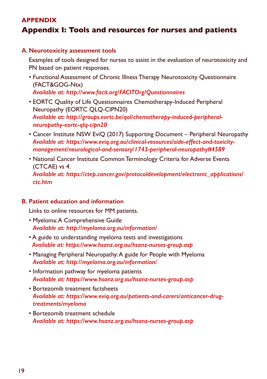#### **APPENDIX**

# **Appendix I: Tools and resources for nurses and patients**

#### **A. Neurotoxicity assessment tools**

Examples of tools designed for nurses to assist in the evaluation of neurotoxicity and PN based on patient responses.

- Functional Assessment of Chronic Illness Therapy Neurotoxicity Questionnaire (FACT&GOG-Ntx) *Available at: http://www.facit.org/FACITOrg/Questionnaires*
- EORTC Quality of Life Questionnaires Chemotherapy-Induced Peripheral Neuropathy (EORTC QLQ-CIPN20) *Available at: http://groups.eortc.be/qol/chemotherapy-induced-peripheralneuropathy-eortc-qlq-cipn20*
- Cancer Institute NSW EviQ (2017) Supporting Document Peripheral Neuropathy *Available at: https://www.eviq.org.au/clinical-resources/side-effect-and-toxicitymanagement/neurological-and-sensory/1743-peripheral-neuropathy#4589*
- National Cancer Institute Common Terminology Criteria for Adverse Events (CTCAE) vs 4. *Available at: https://ctep.cancer.gov/protocoldevelopment/electronic\_applications/ ctc.htm*

#### **B. Patient education and information**

Links to online resources for MM patients.

- Myeloma: A Comprehensive Guide *Available at: http://myeloma.org.au/information/*
- A guide to understanding myeloma tests and investigations *Available at: https://www.hsanz.org.au/hsanz-nurses-group.asp*
- Managing Peripheral Neuropathy: A guide for People with Myeloma *Available at: http://myeloma.org.au/information/*
- Information pathway for myeloma patients *Available at: https://www.hsanz.org.au/hsanz-nurses-group.asp*
- Bortezomib treatment factsheets *Available at: https://www.eviq.org.au/patients-and-carers/anticancer-drugtreatments/myeloma*
- Bortezomib treatment schedule *Available at: https://www.hsanz.org.au/hsanz-nurses-group.asp*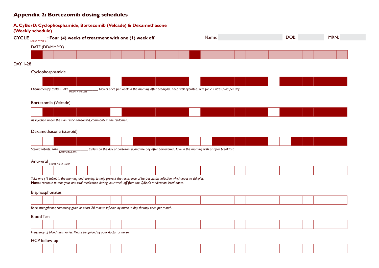# **Appendix 2: Bortezomib dosing schedules**

#### **A. CyBorD: Cyclophosphamide, Bortezomib (Velcade) & Dexamethasone (Weekly schedule)**

| CYCLE $\frac{1}{\text{INSENT CYCLE #}}$ : Four (4) weeks of treatment with one (1) week off                                                                                                                                                           | Name: | DOB:<br>MRN: |
|-------------------------------------------------------------------------------------------------------------------------------------------------------------------------------------------------------------------------------------------------------|-------|--------------|
| DATE (DD/MM/YY)                                                                                                                                                                                                                                       |       |              |
|                                                                                                                                                                                                                                                       |       |              |
| <b>DAY 1-28</b>                                                                                                                                                                                                                                       |       |              |
| Cyclophosphamide                                                                                                                                                                                                                                      |       |              |
|                                                                                                                                                                                                                                                       |       |              |
|                                                                                                                                                                                                                                                       |       |              |
| tablets once per week in the morning after breakfast. Keep well hydrated. Aim for 2.5 litres fluid per day.<br>Chemotherapy tablets. Take<br><b>INSERT #TABLETS</b>                                                                                   |       |              |
| Bortezomib (Velcade)                                                                                                                                                                                                                                  |       |              |
|                                                                                                                                                                                                                                                       |       |              |
|                                                                                                                                                                                                                                                       |       |              |
| As injection under the skin (subcutaneously), commonly in the abdomen.                                                                                                                                                                                |       |              |
| Dexamethasone (steroid)                                                                                                                                                                                                                               |       |              |
|                                                                                                                                                                                                                                                       |       |              |
|                                                                                                                                                                                                                                                       |       |              |
| tablets on the day of bortezomib, and the day after bortezomib. Take in the morning with or after breakfast.<br>Steroid tablets. Take<br><b>INSERT #TABLETS</b>                                                                                       |       |              |
|                                                                                                                                                                                                                                                       |       |              |
| Anti-viral<br><b>INSERT DRUG NAME</b>                                                                                                                                                                                                                 |       |              |
|                                                                                                                                                                                                                                                       |       |              |
| Take one (1) tablet in the morning and evening, to help prevent the recurrence of herpes zoster infection which leads to shingles.<br>Note: continue to take your anti-viral medication during your week off from the CyBorD medication listed above. |       |              |
| Bisphosphonates                                                                                                                                                                                                                                       |       |              |
|                                                                                                                                                                                                                                                       |       |              |
| Bone strengthener, commonly given as short 20-minute infusion by nurse in day therapy once per month.                                                                                                                                                 |       |              |
| <b>Blood Test</b>                                                                                                                                                                                                                                     |       |              |
|                                                                                                                                                                                                                                                       |       |              |
| Frequency of blood tests varies. Please be guided by your doctor or nurse.                                                                                                                                                                            |       |              |
|                                                                                                                                                                                                                                                       |       |              |
| HCP follow-up                                                                                                                                                                                                                                         |       |              |
|                                                                                                                                                                                                                                                       |       |              |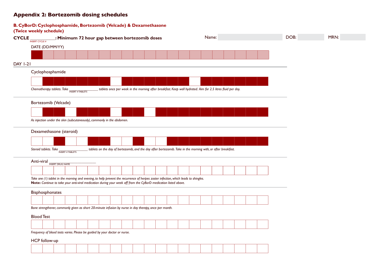# **Appendix 2: Bortezomib dosing schedules**

#### **B. CyBorD: Cyclophosphamide, Bortezomib (Velcade) & Dexamethasone (Twice weekly schedule)**

|                                       | (TWICE WEEKTY SCHEDUIE)                                                                                                                 |                                                                                                             |              |
|---------------------------------------|-----------------------------------------------------------------------------------------------------------------------------------------|-------------------------------------------------------------------------------------------------------------|--------------|
| <b>CYCLE</b><br><b>INSERT CYCLE #</b> | : Minimum 72 hour gap between bortezomib doses                                                                                          | Name:                                                                                                       | DOB:<br>MRN: |
|                                       | DATE (DD/MM/YY)                                                                                                                         |                                                                                                             |              |
|                                       |                                                                                                                                         |                                                                                                             |              |
|                                       |                                                                                                                                         |                                                                                                             |              |
| <b>DAY 1-21</b>                       |                                                                                                                                         |                                                                                                             |              |
|                                       | Cyclophosphamide                                                                                                                        |                                                                                                             |              |
|                                       |                                                                                                                                         |                                                                                                             |              |
|                                       |                                                                                                                                         |                                                                                                             |              |
|                                       | Chemotherapy tablets. Take <b>INSERT # TABLETS</b>                                                                                      | tablets once per week in the morning after breakfast. Keep well hydrated. Aim for 2.5 litres fluid per day. |              |
|                                       |                                                                                                                                         |                                                                                                             |              |
|                                       | Bortezomib (Velcade)                                                                                                                    |                                                                                                             |              |
|                                       |                                                                                                                                         |                                                                                                             |              |
|                                       | As injection under the skin (subcutaneously), commonly in the abdomen.                                                                  |                                                                                                             |              |
|                                       |                                                                                                                                         |                                                                                                             |              |
|                                       | Dexamethasone (steroid)                                                                                                                 |                                                                                                             |              |
|                                       |                                                                                                                                         |                                                                                                             |              |
|                                       |                                                                                                                                         |                                                                                                             |              |
| Steroid tablets. Take                 | tablets on the day of bortezomib, and the day after bortezomib. Take in the morning with, or after breakfast.<br><b>INSERT #TABLETS</b> |                                                                                                             |              |
| Anti-viral                            |                                                                                                                                         |                                                                                                             |              |
|                                       | <b>INSERT DRUG NAME</b>                                                                                                                 |                                                                                                             |              |
|                                       |                                                                                                                                         |                                                                                                             |              |
|                                       | Take one (I) tablet in the morning and evening, to help prevent the recurrence of herpes zoster infection, which leads to shingles.     |                                                                                                             |              |
|                                       | Note: Continue to take your anti-viral medication during your week off from the CyBorD medication listed above.                         |                                                                                                             |              |
|                                       | Bisphosphonates                                                                                                                         |                                                                                                             |              |
|                                       |                                                                                                                                         |                                                                                                             |              |
|                                       |                                                                                                                                         |                                                                                                             |              |
|                                       | Bone strengthener, commonly given as short 20-minute infusion by nurse in day therapy, once per month.                                  |                                                                                                             |              |
| <b>Blood Test</b>                     |                                                                                                                                         |                                                                                                             |              |
|                                       |                                                                                                                                         |                                                                                                             |              |
|                                       |                                                                                                                                         |                                                                                                             |              |
|                                       | Frequency of blood tests varies. Please be guided by your doctor or nurse.                                                              |                                                                                                             |              |
| HCP follow-up                         |                                                                                                                                         |                                                                                                             |              |
|                                       |                                                                                                                                         |                                                                                                             |              |
|                                       |                                                                                                                                         |                                                                                                             |              |